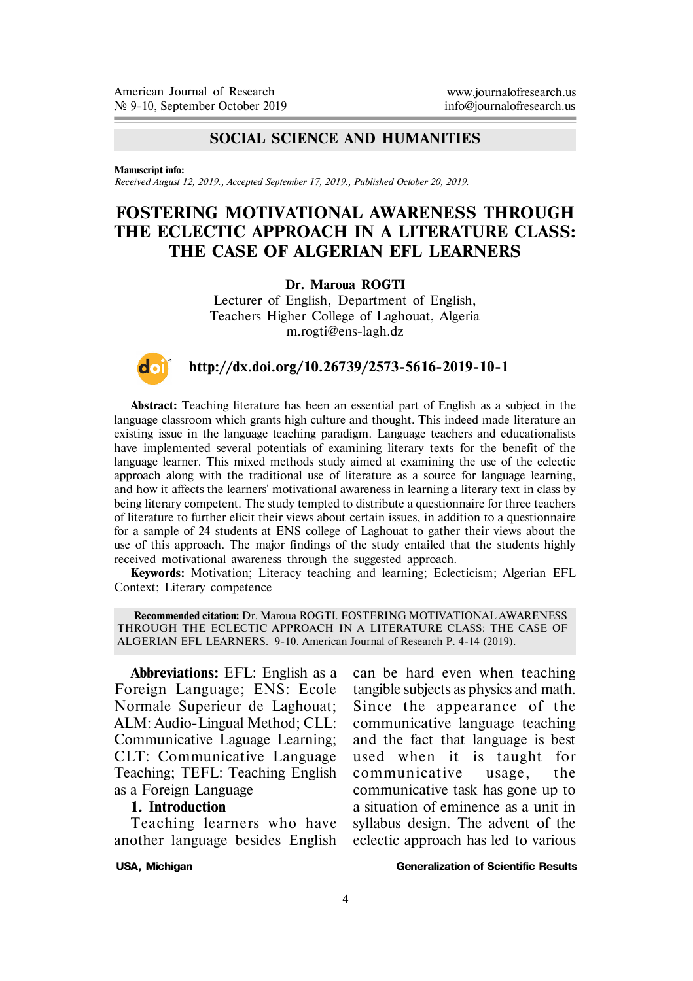## **SOCIAL SCIENCE AND HUMANITIES**

**Manuscript info:**

*Received August 12, 2019., Accepted September 17, 2019., Published October 20, 2019.*

## **FOSTERING MOTIVATIONAL AWARENESS THROUGH THE ECLECTIC APPROACH IN A LITERATURE CLASS: THE CASE OF ALGERIAN EFL LEARNERS**

#### **Dr. Maroua ROGTI**

Lecturer of English, Department of English, Teachers Higher College of Laghouat, Algeria m.rogti@ens-lagh.dz

# **http://dx.doi.org/10.26739/2573-5616-2019-10-1**

**Abstract:** Teaching literature has been an essential part of English as a subject in the language classroom which grants high culture and thought. This indeed made literature an existing issue in the language teaching paradigm. Language teachers and educationalists have implemented several potentials of examining literary texts for the benefit of the language learner. This mixed methods study aimed at examining the use of the eclectic approach along with the traditional use of literature as a source for language learning, and how it affects the learners' motivational awareness in learning a literary text in class by being literary competent. The study tempted to distribute a questionnaire for three teachers of literature to further elicit their views about certain issues, in addition to a questionnaire for a sample of 24 students at ENS college of Laghouat to gather their views about the use of this approach. The major findings of the study entailed that the students highly received motivational awareness through the suggested approach.

**Keywords:** Motivation; Literacy teaching and learning; Eclecticism; Algerian EFL Context; Literary competence

**Recommended citation:** Dr. Maroua ROGTI. FOSTERING MOTIVATIONAL AWARENESS THROUGH THE ECLECTIC APPROACH IN A LITERATURE CLASS: THE CASE OF ALGERIAN EFL LEARNERS. 9-10. American Journal of Research P. 4-14 (2019).

**Abbreviations:** EFL: English as a Foreign Language; ENS: Ecole Normale Superieur de Laghouat; ALM: Audio-Lingual Method; CLL: Communicative Laguage Learning; CLT: Communicative Language Teaching; TEFL: Teaching English as a Foreign Language

### **1. Introduction**

Teaching learners who have another language besides English

can be hard even when teaching tangible subjects as physics and math. Since the appearance of the communicative language teaching and the fact that language is best used when it is taught for communicative usage, the communicative task has gone up to a situation of eminence as a unit in syllabus design. The advent of the eclectic approach has led to various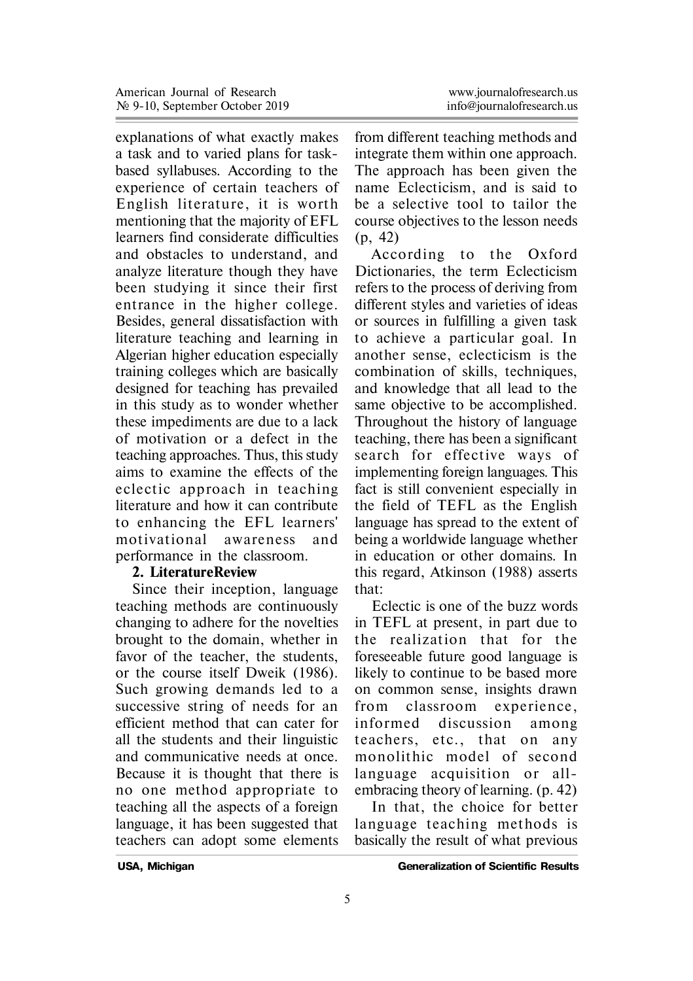explanations of what exactly makes a task and to varied plans for taskbased syllabuses. According to the experience of certain teachers of English literature, it is worth mentioning that the majority of EFL learners find considerate difficulties and obstacles to understand, and analyze literature though they have been studying it since their first entrance in the higher college. Besides, general dissatisfaction with literature teaching and learning in Algerian higher education especially training colleges which are basically designed for teaching has prevailed in this study as to wonder whether these impediments are due to a lack of motivation or a defect in the teaching approaches. Thus, this study aims to examine the effects of the eclectic approach in teaching literature and how it can contribute to enhancing the EFL learners' mo tivational awareness and performance in the classroom.

### **2. LiteratureReview**

Since their inception, language teaching methods are continuously changing to adhere for the novelties brought to the domain, whether in favor of the teacher, the students, or the course itself Dweik (1986). Such growing demands led to a successive string of needs for an efficient method that can cater for all the students and their linguistic and communicative needs at once. Because it is thought that there is no one method appropriate to teaching all the aspects of a foreign language, it has been suggested that teachers can adopt some elements

from different teaching methods and integrate them within one approach. The approach has been given the name Eclecticism, and is said to be a selective tool to tailor the course objectives to the lesson needs (p, 42)

According to the Oxford Dictionaries, the term Eclecticism refers to the process of deriving from different styles and varieties of ideas or sources in fulfilling a given task to achieve a particular goal. In another sense, eclecticism is the combination of skills, techniques, and knowledge that all lead to the same objective to be accomplished. Throughout the history of language teaching, there has been a significant search for effective ways of implementing foreign languages. This fact is still convenient especially in the field of TEFL as the English language has spread to the extent of being a worldwide language whether in education or other domains. In this regard, Atkinson (1988) asserts that:

Eclectic is one of the buzz words in TEFL at present, in part due to the realization that for the foreseeable future good language is likely to continue to be based more on common sense, insights drawn from classroom experience. in formed discussion among teachers, etc., that on any monolithic model of second language acquisition or allembracing theory of learning. (p. 42)

In that, the choice for better language teaching methods is basically the result of what previous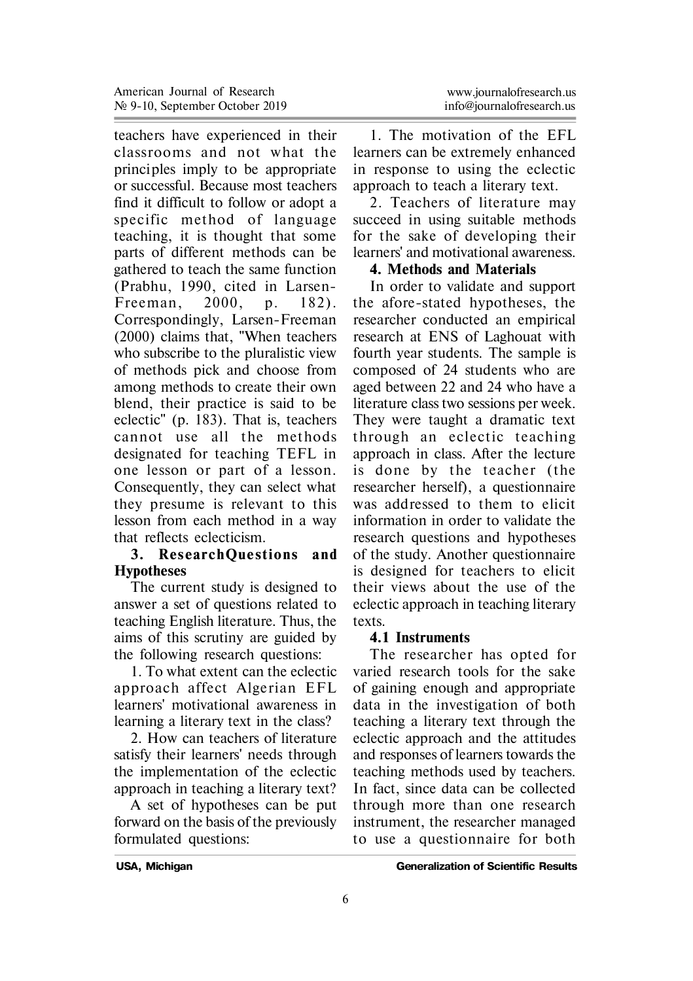teachers have experienced in their classrooms and not what the principles imply to be appropriate or successful. Because most teachers find it difficult to follow or adopt a specific method of language teaching, it is thought that some parts of different methods can be gathered to teach the same function (Prabhu, 1990, cited in Larsen-Freeman,  $2000$ , p.  $182$ ). Correspondingly, Larsen-Freeman (2000) claims that, "When teachers who subscribe to the pluralistic view of methods pick and choose from among methods to create their own blend, their practice is said to be eclectic" (p. 183). That is, teachers cannot use all the methods designated for teaching TEFL in one lesson or part of a lesson. Consequently, they can select what they presume is relevant to this lesson from each method in a way that reflects eclecticism.

#### **3. ResearchOuestions and Hypotheses**

The current study is designed to answer a set of questions related to teaching English literature. Thus, the aims of this scrutiny are guided by the following research questions:

1. To what extent can the eclectic approach affect Algerian EFL learners' motivational awareness in learning a literary text in the class?

2. How can teachers of literature satisfy their learners' needs through the implementation of the eclectic approach in teaching a literary text?

A set of hypotheses can be put forward on the basis of the previously formulated questions:

1. The motivation of the EFL learners can be extremely enhanced in response to using the eclectic approach to teach a literary text.

2. Teachers of literature may succeed in using suitable methods for the sake of developing their learners' and motivational awareness.

### **4. Methods and Materials**

In order to validate and support the afore-stated hypotheses, the researcher conducted an empirical research at ENS of Laghouat with fourth year students. The sample is composed of 24 students who are aged between 22 and 24 who have a literature class two sessions per week. They were taught a dramatic text through an eclectic teaching approach in class. After the lecture is done by the teacher (the researcher herself), a questionnaire was addressed to them to elicit information in order to validate the research questions and hypotheses of the study. Another questionnaire is designed for teachers to elicit their views about the use of the eclectic approach in teaching literary texts.

### **4.1 Instruments**

The researcher has opted for varied research tools for the sake of gaining enough and appropriate data in the investigation of both teaching a literary text through the eclectic approach and the attitudes and responses of learners towards the teaching methods used by teachers. In fact, since data can be collected through more than one research instrument, the researcher managed to use a questionnaire for both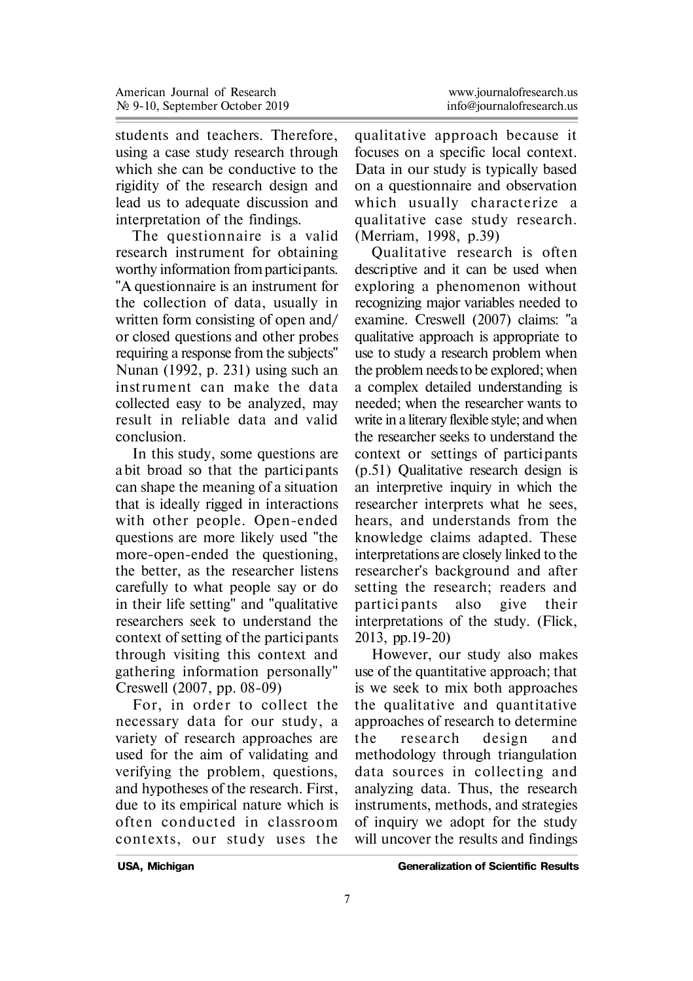students and teachers. Therefore, using a case study research through which she can be conductive to the rigidity of the research design and lead us to adequate discussion and interpretation of the findings.

The questionnaire is a valid research instrument for obtaining worthy information from participants. "A questionnaire is an instrument for the collection of data, usually in written form consisting of open and/ or closed questions and other probes requiring a response from the subjects" Nunan (1992, p. 231) using such an instrument can make the data collected easy to be analyzed, may result in reliable data and valid conclusion.

In this study, some questions are a bit broad so that the participants can shape the meaning of a situation that is ideally rigged in interactions with other people. Open-ended questions are more likely used "the more-open-ended the questioning, the better, as the researcher listens carefully to what people say or do in their life setting" and "qualitative researchers seek to understand the context of setting of the participants through visiting this context and gathering information personally" Creswell (2007, pp. 08-09)

For, in order to collect the necessary data for our study, a variety of research approaches are used for the aim of validating and verifying the problem, questions, and hypotheses of the research. First, due to its empirical nature which is o ften conducted in classroom contexts, our study uses the

qualitative approach because it focuses on a specific local context. Data in our study is typically based on a questionnaire and observation which usually characterize a qualitative case study research. (Merriam, 1998, p.39)

Qualitative research is often descriptive and it can be used when exploring a phenomenon without recognizing major variables needed to examine. Creswell (2007) claims: "a qualitative approach is appropriate to use to study a research problem when the problem needs to be explored; when a complex detailed understanding is needed; when the researcher wants to write in a literary flexible style; and when the researcher seeks to understand the context or settings of participants (p.51) Qualitative research design is an interpretive inquiry in which the researcher interprets what he sees, hears, and understands from the knowledge claims adapted. These interpretations are closely linked to the researcher's background and after setting the research; readers and partici pants also give their interpretations of the study. (Flick, 2013, pp.19-20)

However, our study also makes use of the quantitative approach; that is we seek to mix both approaches the qualitative and quantitative approaches of research to determine the research design and methodology through triangulation data sources in collecting and analyzing data. Thus, the research instruments, methods, and strategies of inquiry we adopt for the study will uncover the results and findings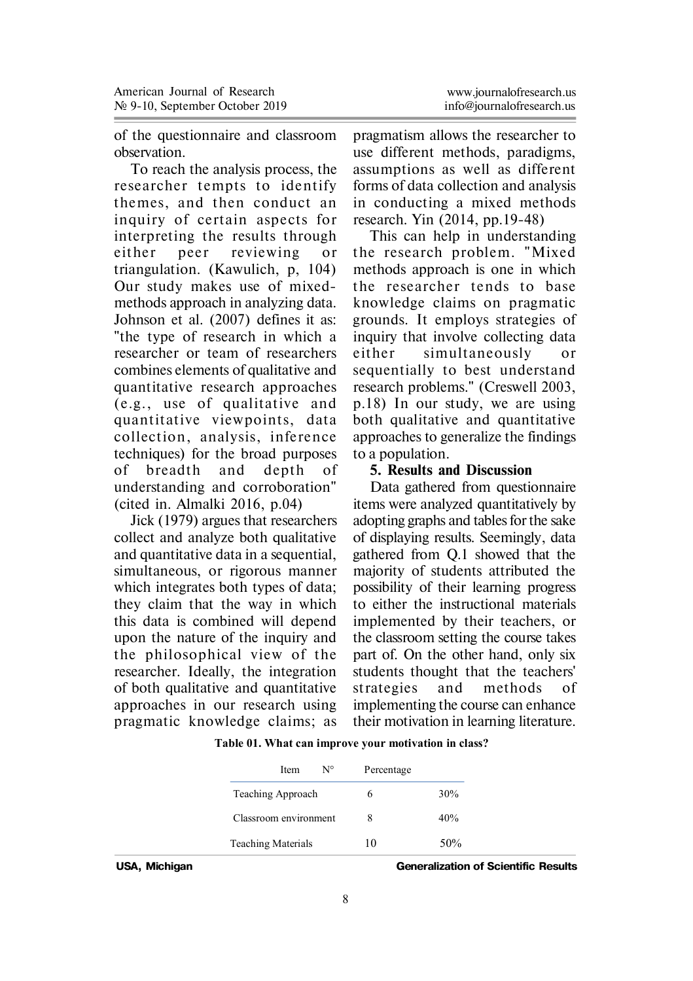| www.journalofresearch.us  |
|---------------------------|
| info@iournalofresearch.us |

of the questionnaire and classroom observation.

To reach the analysis process, the researcher tempts to identify themes, and then conduct an inquiry of certain aspects for interpreting the results through either peer reviewing or triangulation. (Kawulich, p, 104) Our study makes use of mixedmethods approach in analyzing data. Johnson et al. (2007) defines it as: "the type of research in which a researcher or team of researchers combines elements of qualitative and quantitative research approaches (e.g., use of qualitative and quantitative viewpoints, data collection, analysis, inference techniques) for the broad purposes of breadth and depth of understanding and corroboration" (cited in. Almalki 2016, p.04)

Jick (1979) argues that researchers collect and analyze both qualitative and quantitative data in a sequential, simultaneous, or rigorous manner which integrates both types of data; they claim that the way in which this data is combined will depend upon the nature of the inquiry and the philosophical view of the researcher. Ideally, the integration of both qualitative and quantitative approaches in our research using pragmatic knowledge claims; as

pragmatism allows the researcher to use different methods, paradigms, assumptions as well as different forms of data collection and analysis in conducting a mixed methods research. Yin (2014, pp.19-48)

This can help in understanding the research problem. "Mixed methods approach is one in which the researcher tends to base knowledge claims on pragmatic grounds. It employs strategies of inquiry that involve collecting data either simultaneously or sequentially to best understand research problems." (Creswell 2003, p.18) In our study, we are using both qualitative and quantitative approaches to generalize the findings to a population.

#### **5. Results and Discussion**

Data gathered from questionnaire items were analyzed quantitatively by adopting graphs and tables for the sake of displaying results. Seemingly, data gathered from Q.1 showed that the majority of students attributed the possibility of their learning progress to either the instructional materials implemented by their teachers, or the classroom setting the course takes part of. On the other hand, only six students thought that the teachers' st rategies and methods of implementing the course can enhance their motivation in learning literature.

| $N^{\circ}$<br>Item<br>Percentage |     |
|-----------------------------------|-----|
| Teaching Approach                 | 30% |
| Classroom environment             | 40% |
| <b>Teaching Materials</b><br>10   | 50% |

 **Table 01. What can improve your motivation in class?**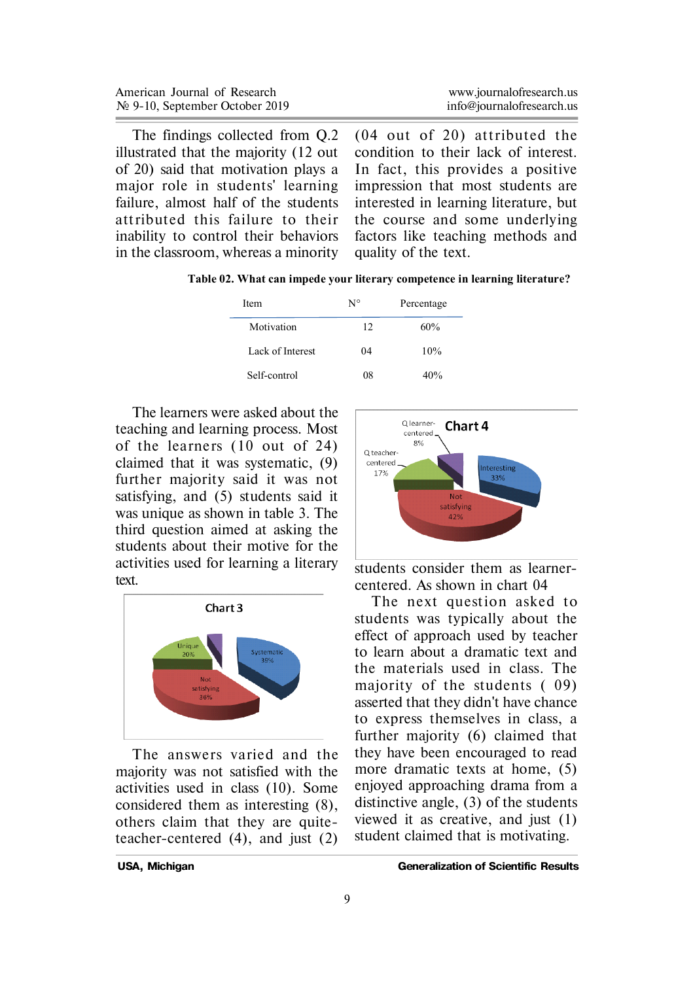| American Journal of Research               | www.journalofresearch.us  |
|--------------------------------------------|---------------------------|
| $\mathcal{N}$ 9-10, September October 2019 | info@iournalofresearch.us |

The findings collected from Q.2 illustrated that the majority (12 out of 20) said that motivation plays a major role in students' learning failure, almost half of the students att ributed this failure to their inability to control their behaviors in the classroom, whereas a minority  $(04$  out of 20) attributed the condition to their lack of interest. In fact, this provides a positive impression that most students are interested in learning literature, but the course and some underlying factors like teaching methods and quality of the text.

 **Table 02. What can impede your literary competence in learning literature?**

| <b>Item</b>      | N° | Percentage |
|------------------|----|------------|
| Motivation       | 12 | 60%        |
| Lack of Interest | 04 | 10%        |
| Self-control     | 08 | 40%        |

The learners were asked about the teaching and learning process. Most of the learners (10 out of 24) claimed that it was systematic, (9) further majority said it was not satisfying, and (5) students said it was unique as shown in table 3. The third question aimed at asking the students about their motive for the activities used for learning a literary text.



The answers varied and the majority was not satisfied with the activities used in class (10). Some considered them as interesting (8), others claim that they are quiteteacher-centered (4), and just (2)



students consider them as learnercentered. As shown in chart 04

The next question asked to students was typically about the effect of approach used by teacher to learn about a dramatic text and the materials used in class. The majority of the students  $(09)$ asserted that they didn't have chance to express themselves in class, a further majority (6) claimed that they have been encouraged to read more dramatic texts at home, (5) enjoyed approaching drama from a distinctive angle, (3) of the students viewed it as creative, and just (1) student claimed that is motivating.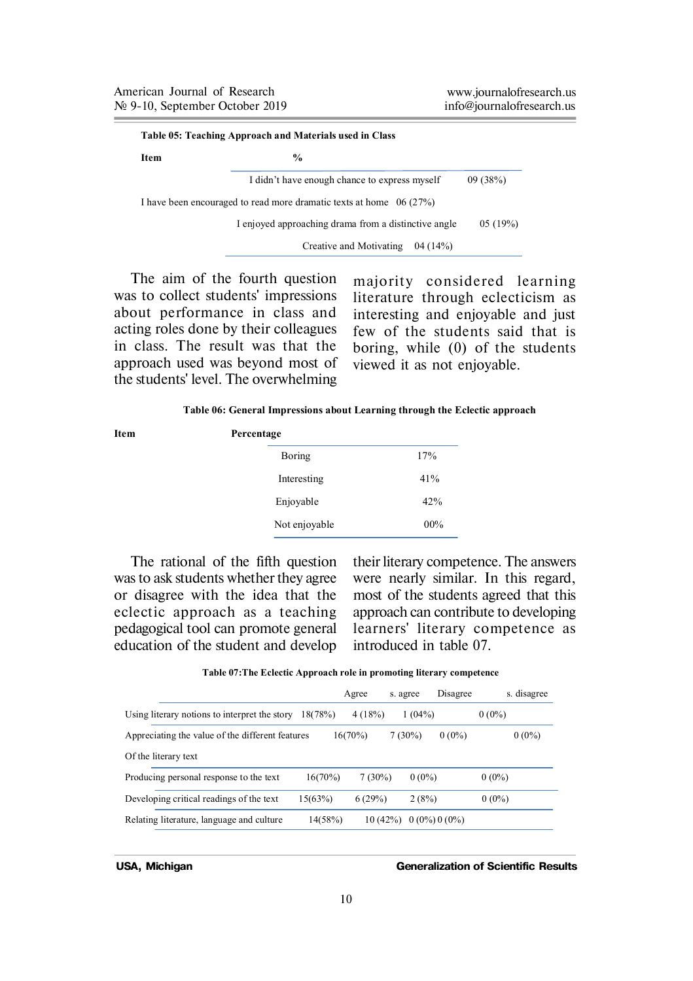| Item | $\frac{0}{0}$                                                        |         |
|------|----------------------------------------------------------------------|---------|
|      | I didn't have enough chance to express myself                        | 09(38%) |
|      | I have been encouraged to read more dramatic texts at home $06(27%)$ |         |
|      |                                                                      |         |
|      | I enjoyed approaching drama from a distinctive angle                 | 05(19%) |

The aim of the fourth question was to collect students' impressions about performance in class and acting roles done by their colleagues in class. The result was that the approach used was beyond most of the students' level. The overwhelming

majority considered learning literature through eclecticism as interesting and enjoyable and just few of the students said that is boring, while (0) of the students viewed it as not enjoyable.

 **Table 06: General Impressions about Learning through the Eclectic approach**

| Item | Percentage    |     |  |  |
|------|---------------|-----|--|--|
|      | Boring        | 17% |  |  |
|      | Interesting   | 41% |  |  |
|      | Enjoyable     | 42% |  |  |
|      | Not enjoyable | 00% |  |  |
|      |               |     |  |  |

The rational of the fifth question was to ask students whether they agree or disagree with the idea that the eclectic approach as a teaching pedagogical tool can promote general education of the student and develop

their literary competence. The answers were nearly similar. In this regard, most of the students agreed that this approach can contribute to developing learners' literary competence as introduced in table 07.

**Table 07:The Eclectic Approach role in promoting literary competence** 

|                                                  |         | Agree      | s. agree  |                | Disagree |          | s. disagree |
|--------------------------------------------------|---------|------------|-----------|----------------|----------|----------|-------------|
| Using literary notions to interpret the story    | 18(78%) | 4(18%)     |           | 1(04%)         |          | $0(0\%)$ |             |
| Appreciating the value of the different features |         | $16(70\%)$ | $7(30\%)$ |                | $0(0\%)$ |          | $0(0\%)$    |
| Of the literary text                             |         |            |           |                |          |          |             |
| Producing personal response to the text          | 16(70%) | 7(30%)     |           | $0(0\%)$       |          | $0(0\%)$ |             |
| Developing critical readings of the text         | 15(63%) | 6(29%)     |           | 2(8%)          |          | $0(0\%)$ |             |
| Relating literature, language and culture        | 14(58%) | 10(42%)    |           | $0(0\%)0(0\%)$ |          |          |             |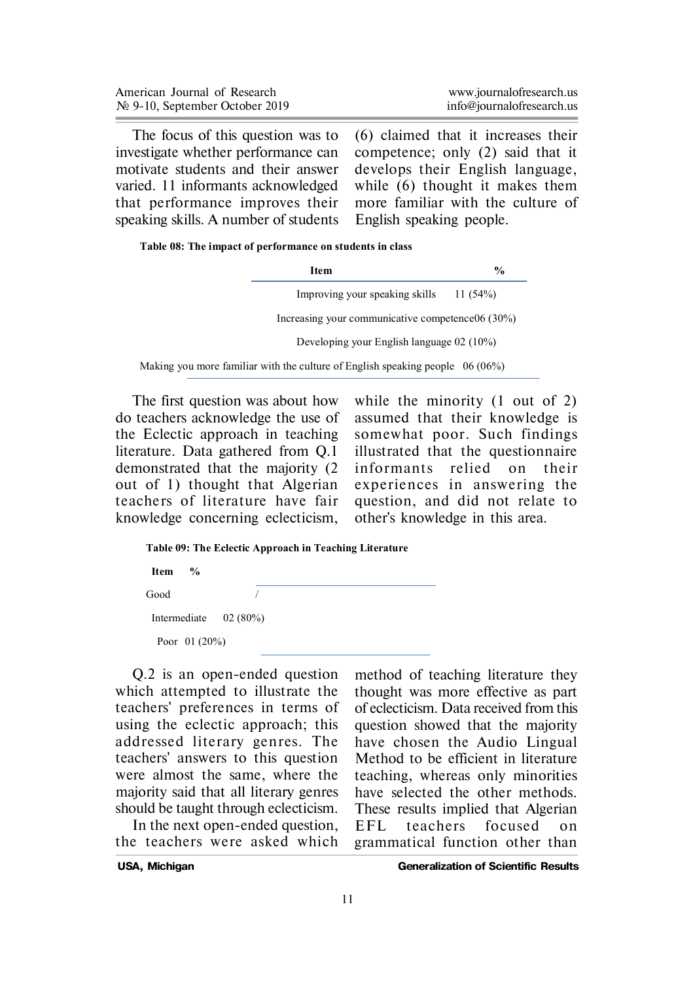| American Journal of Research       | www.journalofresearch.us  |
|------------------------------------|---------------------------|
| $N_2$ 9-10, September October 2019 | info@journalofresearch.us |

The focus of this question was to investigate whether performance can motivate students and their answer varied. 11 informants acknowledged that performance improves their speaking skills. A number of students

(6) claimed that it increases their competence; only (2) said that it develops their English language, while (6) thought it makes them more familiar with the culture of English speaking people.

| Table 08: The impact of performance on students in class |  |  |
|----------------------------------------------------------|--|--|
|----------------------------------------------------------|--|--|

| Item                                                                             | $\frac{6}{6}$ |
|----------------------------------------------------------------------------------|---------------|
| Improving your speaking skills                                                   | 11(54%)       |
| Increasing your communicative competence06 (30%)                                 |               |
| Developing your English language 02 (10%)                                        |               |
| Making you more familiar with the culture of English speaking people $06 (06\%)$ |               |

The first question was about how do teachers acknowledge the use of the Eclectic approach in teaching literature. Data gathered from Q.1 demonstrated that the majority (2 out of 1) thought that Algerian teachers of literature have fair knowledge concerning eclecticism,

while the minority (1 out of 2) assumed that their knowledge is somewhat poor. Such findings illustrated that the questionnaire informants relied on their experiences in answering the question, and did not relate to other's knowledge in this area.

```
 Table 09: The Eclectic Approach in Teaching Literature
```
 $$  Good / Intermediate 02 (80%) Poor 01 (20%)

Q.2 is an open-ended question which attempted to illustrate the teachers' preferences in terms of using the eclectic approach; this addressed literary gen res. The teachers' answers to this question were almost the same, where the majority said that all literary genres should be taught through eclecticism.

In the next open-ended question, the teachers were asked which method of teaching literature they thought was more effective as part of eclecticism. Data received from this question showed that the majority have chosen the Audio Lingual Method to be efficient in literature teaching, whereas only minorities have selected the other methods. These results implied that Algerian EFL teachers focused on grammatical function other than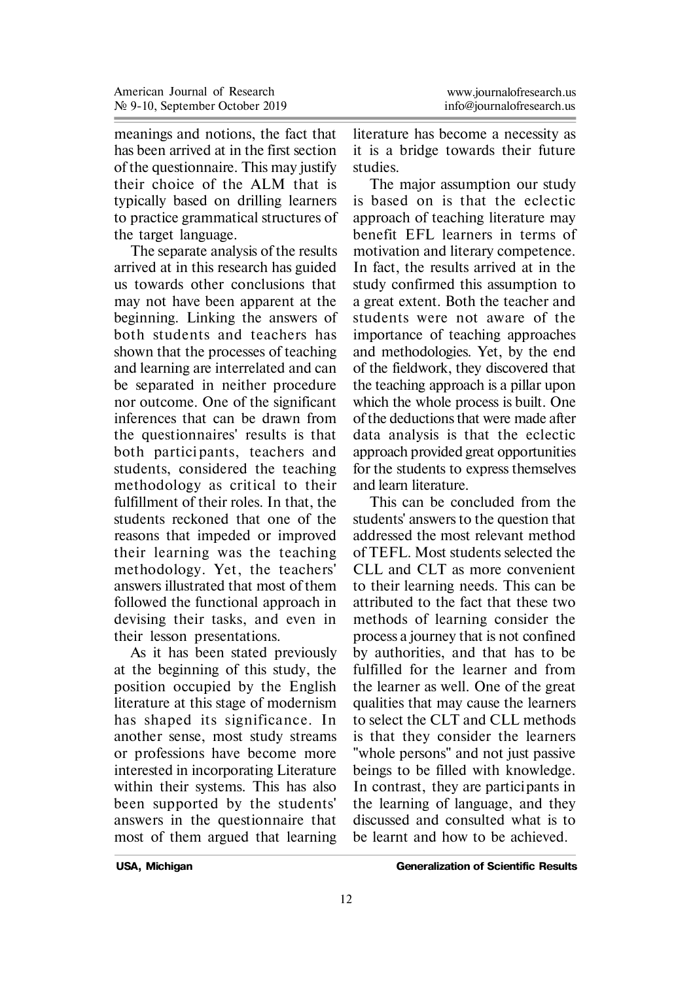meanings and notions, the fact that has been arrived at in the first section of the questionnaire. This may justify their choice of the ALM that is typically based on drilling learners to practice grammatical structures of the target language.

The separate analysis of the results arrived at in this research has guided us towards other conclusions that may not have been apparent at the beginning. Linking the answers of both students and teachers has shown that the processes of teaching and learning are interrelated and can be separated in neither procedure nor outcome. One of the significant inferences that can be drawn from the questionnaires' results is that both partici pants, teachers and students, considered the teaching methodology as critical to their fulfillment of their roles. In that, the students reckoned that one of the reasons that impeded or improved their learning was the teaching methodology. Yet, the teachers' answers illustrated that most of them followed the functional approach in devising their tasks, and even in their lesson presentations.

As it has been stated previously at the beginning of this study, the position occupied by the English literature at this stage of modernism has shaped its significance. In another sense, most study streams or professions have become more interested in incorporating Literature within their systems. This has also been supported by the students' answers in the questionnaire that most of them argued that learning

literature has become a necessity as it is a bridge towards their future studies.

The major assumption our study is based on is that the eclectic approach of teaching literature may benefit EFL learners in terms of motivation and literary competence. In fact, the results arrived at in the study confirmed this assumption to a great extent. Both the teacher and students were not aware of the importance of teaching approaches and methodologies. Yet, by the end of the fieldwork, they discovered that the teaching approach is a pillar upon which the whole process is built. One of the deductions that were made after data analysis is that the eclectic approach provided great opportunities for the students to express themselves and learn literature.

This can be concluded from the students' answers to the question that addressed the most relevant method of TEFL. Most students selected the CLL and CLT as more convenient to their learning needs. This can be attributed to the fact that these two methods of learning consider the process a journey that is not confined by authorities, and that has to be fulfilled for the learner and from the learner as well. One of the great qualities that may cause the learners to select the CLT and CLL methods is that they consider the learners "whole persons" and not just passive beings to be filled with knowledge. In contrast, they are participants in the learning of language, and they discussed and consulted what is to be learnt and how to be achieved.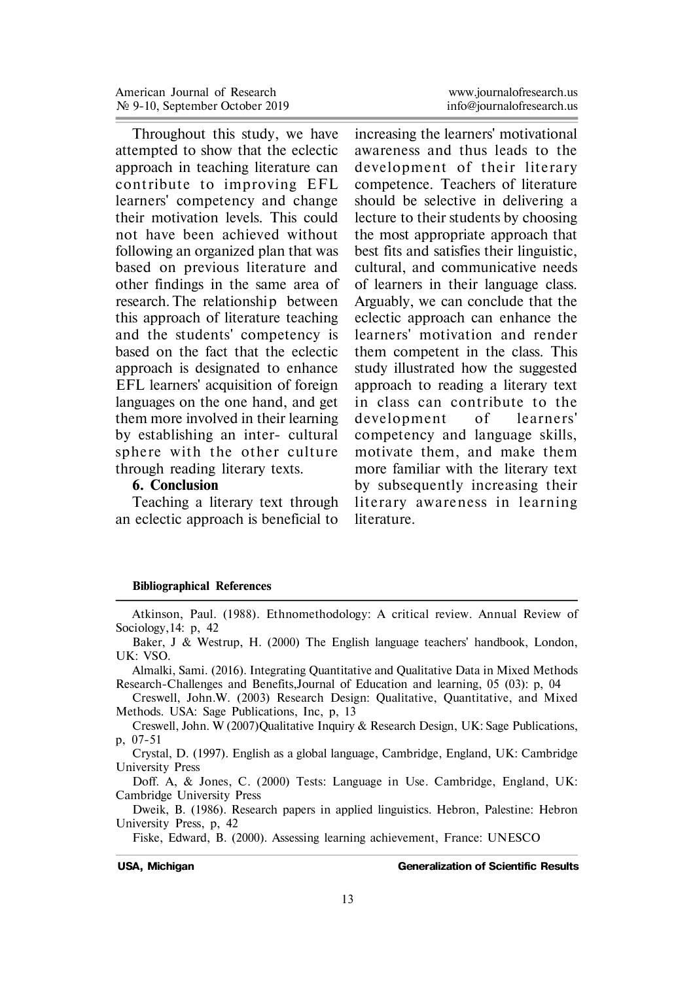Throughout this study, we have attempted to show that the eclectic approach in teaching literature can contribute to improving EFL learners' competency and change their motivation levels. This could not have been achieved without following an organized plan that was based on previous literature and other findings in the same area of research. The relationship between this approach of literature teaching and the students' competency is based on the fact that the eclectic approach is designated to enhance EFL learners' acquisition of foreign languages on the one hand, and get them more involved in their learning by establishing an inter- cultural sphere with the other culture through reading literary texts.

#### **6. Conclusion**

Teaching a literary text through an eclectic approach is beneficial to www.journalofresearch.us

increasing the learners' motivational awareness and thus leads to the development of their literary competence. Teachers of literature should be selective in delivering a lecture to their students by choosing the most appropriate approach that best fits and satisfies their linguistic, cultural, and communicative needs of learners in their language class. Arguably, we can conclude that the eclectic approach can enhance the learners' motivation and render them competent in the class. This study illustrated how the suggested approach to reading a literary text in class can contribute to the development of learners' competency and language skills, motivate them, and make them more familiar with the literary text by subsequently increasing their literary awareness in learning literature.

#### **Bibliographical References**

Atkinson, Paul. (1988). Ethnomethodology: A critical review. Annual Review of Sociology,14: p, 42

Baker, J & Westrup, H. (2000) The English language teachers' handbook, London, UK: VSO.

Almalki, Sami. (2016). Integrating Quantitative and Qualitative Data in Mixed Methods Research-Challenges and Benefits,Journal of Education and learning, 05 (03): p, 04

Creswell, John.W. (2003) Research Design: Qualitative, Quantitative, and Mixed Methods. USA: Sage Publications, Inc, p, 13

Creswell, John. W (2007)Qualitative Inquiry & Research Design, UK: Sage Publications, p, 07-51

Crystal, D. (1997). English as a global language, Cambridge, England, UK: Cambridge University Press

Doff. A, & Jones, C. (2000) Tests: Language in Use. Cambridge, England, UK: Cambridge University Press

Dweik, B. (1986). Research papers in applied linguistics. Hebron, Palestine: Hebron University Press, p, 42

Fiske, Edward, B. (2000). Assessing learning achievement, France: UNESCO